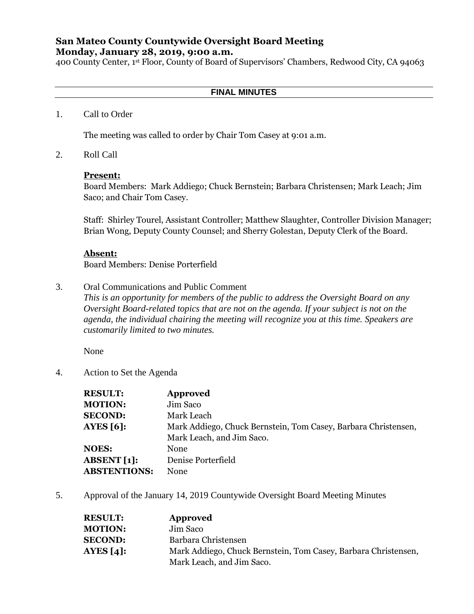# **San Mateo County Countywide Oversight Board Meeting Monday, January 28, 2019, 9:00 a.m.**

400 County Center, 1st Floor, County of Board of Supervisors' Chambers, Redwood City, CA 94063

### **FINAL MINUTES**

1. Call to Order

The meeting was called to order by Chair Tom Casey at 9:01 a.m.

2. Roll Call

#### **Present:**

Board Members: Mark Addiego; Chuck Bernstein; Barbara Christensen; Mark Leach; Jim Saco; and Chair Tom Casey.

Staff: Shirley Tourel, Assistant Controller; Matthew Slaughter, Controller Division Manager; Brian Wong, Deputy County Counsel; and Sherry Golestan, Deputy Clerk of the Board.

#### **Absent:**

Board Members: Denise Porterfield

3. Oral Communications and Public Comment

*This is an opportunity for members of the public to address the Oversight Board on any Oversight Board-related topics that are not on the agenda. If your subject is not on the agenda, the individual chairing the meeting will recognize you at this time. Speakers are customarily limited to two minutes.*

None

4. Action to Set the Agenda

| <b>RESULT:</b>      | <b>Approved</b>                                                |
|---------------------|----------------------------------------------------------------|
| <b>MOTION:</b>      | Jim Saco                                                       |
| <b>SECOND:</b>      | Mark Leach                                                     |
| AYES $[6]$ :        | Mark Addiego, Chuck Bernstein, Tom Casey, Barbara Christensen, |
|                     | Mark Leach, and Jim Saco.                                      |
| <b>NOES:</b>        | <b>None</b>                                                    |
| ABSENT $[1]$ :      | Denise Porterfield                                             |
| <b>ABSTENTIONS:</b> | <b>None</b>                                                    |

5. Approval of the January 14, 2019 Countywide Oversight Board Meeting Minutes

| <b>RESULT:</b> | Approved                                                       |
|----------------|----------------------------------------------------------------|
| <b>MOTION:</b> | Jim Saco                                                       |
| <b>SECOND:</b> | Barbara Christensen                                            |
| AYES $[4]$ :   | Mark Addiego, Chuck Bernstein, Tom Casey, Barbara Christensen, |
|                | Mark Leach, and Jim Saco.                                      |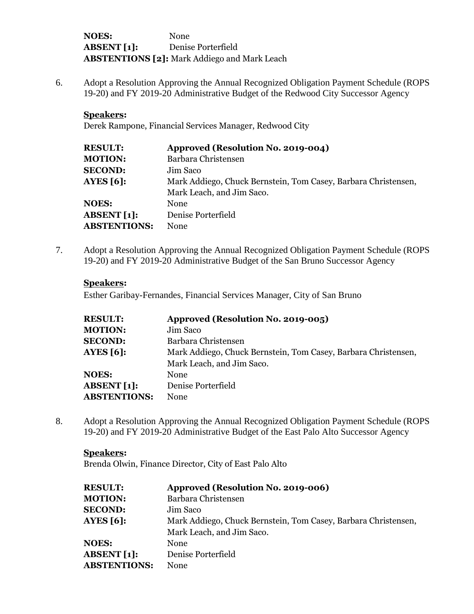**NOES:** None **ABSENT [1]:** Denise Porterfield **ABSTENTIONS [2]:** Mark Addiego and Mark Leach

6. Adopt a Resolution Approving the Annual Recognized Obligation Payment Schedule (ROPS 19-20) and FY 2019-20 Administrative Budget of the Redwood City Successor Agency

### **Speakers:**

Derek Rampone, Financial Services Manager, Redwood City

| <b>RESULT:</b>      | Approved (Resolution No. 2019-004)                             |
|---------------------|----------------------------------------------------------------|
| <b>MOTION:</b>      | Barbara Christensen                                            |
| <b>SECOND:</b>      | Jim Saco                                                       |
| <b>AYES [6]:</b>    | Mark Addiego, Chuck Bernstein, Tom Casey, Barbara Christensen, |
|                     | Mark Leach, and Jim Saco.                                      |
| <b>NOES:</b>        | <b>None</b>                                                    |
| <b>ABSENT</b> [1]:  | Denise Porterfield                                             |
| <b>ABSTENTIONS:</b> | <b>None</b>                                                    |
|                     |                                                                |

7. Adopt a Resolution Approving the Annual Recognized Obligation Payment Schedule (ROPS 19-20) and FY 2019-20 Administrative Budget of the San Bruno Successor Agency

### **Speakers:**

Esther Garibay-Fernandes, Financial Services Manager, City of San Bruno

| <b>RESULT:</b>      | Approved (Resolution No. 2019-005)                             |
|---------------------|----------------------------------------------------------------|
| <b>MOTION:</b>      | Jim Saco                                                       |
| <b>SECOND:</b>      | Barbara Christensen                                            |
| AYES $[6]$ :        | Mark Addiego, Chuck Bernstein, Tom Casey, Barbara Christensen, |
|                     | Mark Leach, and Jim Saco.                                      |
| <b>NOES:</b>        | <b>None</b>                                                    |
| <b>ABSENT</b> [1]:  | Denise Porterfield                                             |
| <b>ABSTENTIONS:</b> | <b>None</b>                                                    |

8. Adopt a Resolution Approving the Annual Recognized Obligation Payment Schedule (ROPS 19-20) and FY 2019-20 Administrative Budget of the East Palo Alto Successor Agency

#### **Speakers:**

Brenda Olwin, Finance Director, City of East Palo Alto

| <b>RESULT:</b>      | Approved (Resolution No. 2019-006)                             |
|---------------------|----------------------------------------------------------------|
| <b>MOTION:</b>      | Barbara Christensen                                            |
| <b>SECOND:</b>      | Jim Saco                                                       |
| AYES $[6]$ :        | Mark Addiego, Chuck Bernstein, Tom Casey, Barbara Christensen, |
|                     | Mark Leach, and Jim Saco.                                      |
| <b>NOES:</b>        | <b>None</b>                                                    |
| <b>ABSENT</b> [1]:  | Denise Porterfield                                             |
| <b>ABSTENTIONS:</b> | None                                                           |